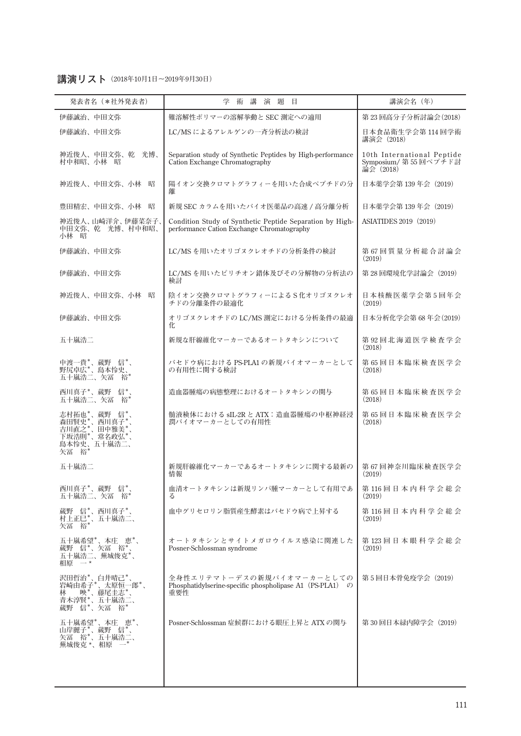## **講演リスト(2018年10月1日〜2019年9月30日)**

| 発表者名 (*社外発表者)                                                                                            | 講<br>学<br>術<br>演題目                                                                                     | 講演会名 (年)                                                        |
|----------------------------------------------------------------------------------------------------------|--------------------------------------------------------------------------------------------------------|-----------------------------------------------------------------|
| 伊藤誠治、中田文弥                                                                                                | 難溶解性ポリマーの溶解挙動と SEC 測定への適用                                                                              | 第23回高分子分析討論会(2018)                                              |
| 伊藤誠治、中田文弥                                                                                                | LC/MS によるアレルゲンの一斉分析法の検討                                                                                | 日本食品衛生学会第114回学術<br>講演会 (2018)                                   |
| 神近俊人、中田文弥、乾 光博、<br>村中和昭、小林 昭                                                                             | Separation study of Synthetic Peptides by High-performance<br>Cation Exchange Chromatography           | 10th International Peptide<br>Symposium/ 第55回ペプチド討<br>論会 (2018) |
| 神近俊人、中田文弥、小林 昭                                                                                           | 陽イオン交換クロマトグラフィーを用いた合成ペプチドの分<br>離                                                                       | 日本薬学会第 139 年会(2019)                                             |
| 豊田精宏、中田文弥、小林<br>昭                                                                                        | 新規 SEC カラムを用いたバイオ医薬品の高速 / 高分離分析                                                                        | 日本薬学会第139年会 (2019)                                              |
| 神近俊人、山崎洋介、伊藤菜奈子、<br>中田文弥、乾 光博、村中和昭、<br>小林 昭                                                              | Condition Study of Synthetic Peptide Separation by High-<br>performance Cation Exchange Chromatography | <b>ASIATIDES 2019 (2019)</b>                                    |
| 伊藤誠治、中田文弥                                                                                                | LC/MSを用いたオリゴヌクレオチドの分析条件の検討                                                                             | 第67回質量分析総合討論会<br>(2019)                                         |
| 伊藤誠治、中田文弥                                                                                                | LC/MSを用いたピリチオン錯体及びその分解物の分析法の<br>検討                                                                     | 第28回環境化学討論会 (2019)                                              |
| 神近俊人、中田文弥、小林 昭                                                                                           | 陰イオン交換クロマトグラフィーによるS化オリゴヌクレオ<br>チドの分離条件の最適化                                                             | 日本核酸医薬学会第5回年会<br>(2019)                                         |
| 伊藤誠治、中田文弥                                                                                                | オリゴヌクレオチドの LC/MS 測定における分析条件の最適<br>化                                                                    | 日本分析化学会第 68 年会(2019)                                            |
| 五十嵐浩二                                                                                                    | 新規な肝線維化マーカーであるオートタキシンについて                                                                              | 第92回北海道医学検査学会<br>(2018)                                         |
| 中渡一貴*、蔵野 信*、<br>野尻卓広*、島本怜史、<br>五十嵐浩二、矢冨 裕*                                                               | バセドウ病における PS-PLA1 の新規バイオマーカーとして<br>の有用性に関する検討                                                          | 第65回日本臨床検査医学会<br>(2018)                                         |
| 西川真子*、蔵野 信*、<br>五十嵐浩二、矢冨 裕*                                                                              | 造血器腫瘍の病態整理におけるオートタキシンの関与                                                                               | 第65回日本臨床検査医学会<br>(2018)                                         |
| 志村拓也*、蔵野 信*、<br>森田賢史*、西川真子*、<br>吉川直之*、田中雅美*、<br>古川浩則<br>下坂浩則<br>島本怜史、五十嵐浩二、<br>矢冨 裕                      | 髄液検体における sIL-2R と ATX:造血器腫瘍の中枢神経浸<br>潤バイオマーカーとしての有用性                                                   | 第65回日本臨床検査医学会<br>(2018)                                         |
| 五十嵐浩二                                                                                                    | 新規肝線維化マーカーであるオートタキシンに関する最新の<br>情報                                                                      | 第67回神奈川臨床検査医学会<br>(2019)                                        |
| 西川真子*、蔵野 信*、<br>五十嵐浩二、矢冨 裕*                                                                              | 血清オートタキシンは新規リンパ腫マーカーとして有用であ<br>z                                                                       | 第116回日本内科学会総会<br>(2019)                                         |
| 蔵野 信*、西川真子*、<br>村上正巳*、五十嵐浩二、<br>矢冨 裕*                                                                    | 血中グリセロリン脂質産生酵素はバセドウ病で上昇する                                                                              | 第116回日本内科学会総会<br>(2019)                                         |
| 五十嵐希望*、本庄 恵*、<br>蔵野 信*、矢冨 裕*、<br>五十嵐浩二、蕪城俊克*、<br>$\overline{\phantom{a}}$ $\overline{\phantom{a}}$<br>相原 | オートタキシンとサイトメガロウイルス感染に関連した<br>Posner-Schlossman syndrome                                                | 第123回日本眼科学会総会<br>(2019)                                         |
| 沢田哲治*、白井晴己*、<br>岩崎由希子*、太原恒一郎*、<br>蔵野 信*、矢冨 裕*                                                            | 全身性エリテマトーデスの新規バイオマーカーとしての<br>Phosphatidylserine-specific phospholipase A1 (PS-PLA1) $\oslash$<br>重要性   | 第5回日本骨免疫学会(2019)                                                |
| 五十嵐希望*、本庄 恵*、<br>山岸麗子*、蔵野 信*、<br>矢冨 俗*、五十嵐浩二、<br>蕪城俊克 *、相原                                               | Posner-Schlossman 症候群における眼圧上昇と ATX の関与                                                                 | 第 30 回日本緑内障学会(2019)                                             |
|                                                                                                          |                                                                                                        |                                                                 |
|                                                                                                          |                                                                                                        |                                                                 |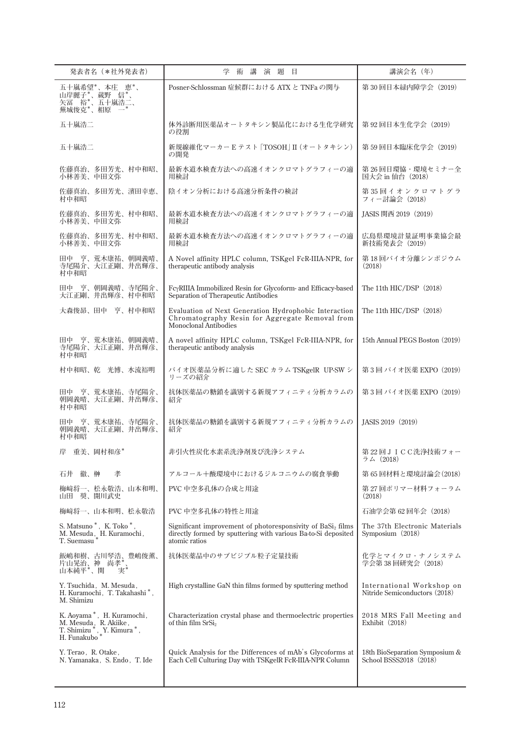| 発表者名 (*社外発表者)                                                                                            | 学<br>講<br>題<br>術<br>演<br>目                                                                                                                    | 講演会名 (年)                                                   |
|----------------------------------------------------------------------------------------------------------|-----------------------------------------------------------------------------------------------------------------------------------------------|------------------------------------------------------------|
| 五十嵐希望*、本庄 恵*、<br>山岸麗子 *、蔵野 信 *、<br>矢冨 裕 *、五十嵐浩二、<br>蕪城俊克 *、相原                                            | Posner-Schlossman 症候群における ATX と TNFa の関与                                                                                                      | 第30回日本緑内障学会 (2019)                                         |
| 五十嵐浩二                                                                                                    | 体外診断用医薬品オートタキシン製品化における生化学研究<br>の役割                                                                                                            | 第92回日本生化学会 (2019)                                          |
| 五十嵐浩二                                                                                                    | 新規線維化マーカーEテスト [TOSOH] II (オートタキシン)<br>の開発                                                                                                     | 第 59 回日本臨床化学会 (2019)                                       |
| 佐藤真治、多田芳光、村中和昭、<br>小林善美、中田文弥                                                                             | 最新水道水検査方法への高速イオンクロマトグラフィーの適<br>用検討                                                                                                            | 第26回日環協・環境セミナー全<br>国大会 in 仙台 (2018)                        |
| 佐藤真治、多田芳光、濱田幸恵、<br>村中和昭                                                                                  | 陰イオン分析における高速分析条件の検討                                                                                                                           | 第35回イオンクロマトグラ<br>フィー討論会 (2018)                             |
| 佐藤真治、多田芳光、村中和昭、<br>小林善美、中田文弥                                                                             | 最新水道水検査方法への高速イオンクロマトグラフィーの適<br>用検討                                                                                                            | JASIS 関西 2019 (2019)                                       |
| 佐藤真治、多田芳光、村中和昭、<br>小林善美、中田文弥                                                                             | 最新水道水検査方法への高速イオンクロマトグラフィーの適<br>用検討                                                                                                            | 広島県環境計量証明事業協会最<br>新技術発表会 (2019)                            |
| 田中 亨、荒木康祐、朝岡義晴、<br>寺尾陽介、大江正剛、井出輝彦、<br>村中和昭                                                               | A Novel affinity HPLC column, TSKgel FcR-IIIA-NPR, for<br>therapeutic antibody analysis                                                       | 第 18 回バイオ分離シンポジウム<br>(2018)                                |
| 田中 亨、朝岡義晴、寺尾陽介、<br>大江正剛、井出輝彦、村中和昭                                                                        | FcyRIIIA Immobilized Resin for Glycoform- and Efficacy-based<br>Separation of Therapeutic Antibodies                                          | The 11th HIC/DSP (2018)                                    |
| 大森俊昴、田中 亨、村中和昭                                                                                           | Evaluation of Next Generation Hydrophobic Interaction<br>Chromatography Resin for Aggregate Removal from<br><b>Monoclonal Antibodies</b>      | The 11th HIC/DSP (2018)                                    |
| 田中 亨、荒木康祐、朝岡義晴、<br>寺尾陽介、大江正剛、井出輝彦、<br>村中和昭                                                               | A novel affinity HPLC column, TSKgel FcR-IIIA-NPR, for<br>therapeutic antibody analysis                                                       | 15th Annual PEGS Boston (2019)                             |
| 村中和昭、乾 光博、水流裕明                                                                                           | バイオ医薬品分析に適した SEC カラム TSKgelR UP-SW シ<br>リーズの紹介                                                                                                | 第3回バイオ医薬 EXPO (2019)                                       |
| 田中 亨、荒木康祐、寺尾陽介、<br>朝岡義晴、大江正剛、井出輝彦、<br>村中和昭                                                               | 抗体医薬品の糖鎖を識別する新規アフィニティ分析カラムの<br>紹介                                                                                                             | 第3回バイオ医薬 EXPO (2019)                                       |
| 田中 亨、荒木康祐、寺尾陽介、<br>朝岡義晴、大江正剛、井出輝彦、<br>村中和昭                                                               | 抗体医薬品の糖鎖を識別する新規アフィニティ分析カラムの<br>紹介                                                                                                             | IASIS 2019 (2019)                                          |
| 重美、岡村和彦*<br>岸                                                                                            | 非引火性炭化水素系洗浄剤及び洗浄システム                                                                                                                          | 第 22 回JICC洗浄技術フォー<br>ラム(2018)                              |
| 石井 徹、榊<br>孝                                                                                              | アルコール十酸環境中におけるジルコニウムの腐食挙動                                                                                                                     | 第65回材料と環境討論会(2018)                                         |
| 梅﨑将一、松永敬浩、山本和明、<br>山田 奨、開川武史                                                                             | PVC 中空多孔体の合成と用途                                                                                                                               | 第 27 回ポリマー材料フォーラム<br>(2018)                                |
| 梅﨑将一、山本和明、松永敬浩                                                                                           | PVC 中空多孔体の特性と用途                                                                                                                               | 石油学会第62回年会 (2018)                                          |
| S. Matsuno*, K. Toko*,<br>$\mbox{M. Mesuda}\xspace_{*}$ H. Kuramochi<br>, $\mbox{T. Seemasu}\xspace^{*}$ | Significant improvement of photoresponsivity of BaSi, films<br>directly formed by sputtering with various Ba-to-Si deposited<br>atomic ratios | The 37th Electronic Materials<br>Symposium $(2018)$        |
| 飯嶋和樹、古川琴浩、豊嶋俊薫、<br>片山晃治、神 尚孝*<br>山本純平*、関 実<br>実*                                                         | 抗体医薬品中のサブビジブル粒子定量技術                                                                                                                           | 化学とマイクロ・ナノシステム<br>学会第38回研究会 (2018)                         |
| Y. Tsuchida, M. Mesuda,<br>H. Kuramochi, T. Takahashi*,<br>M. Shimizu                                    | High crystalline GaN thin films formed by sputtering method                                                                                   | International Workshop on<br>Nitride Semiconductors (2018) |
| K. Aoyama*, H. Kuramochi,<br>M. Mesuda, R. Akiike,<br>T. Shimizu *, Y. Kimura *,<br>H. Funakubo *        | Characterization crystal phase and thermoelectric properties<br>of thin film SrSi <sub>2</sub>                                                | 2018 MRS Fall Meeting and<br>Exhibit $(2018)$              |
| Y. Terao, R. Otake,<br>N. Yamanaka, S. Endo, T. Ide                                                      | Quick Analysis for the Differences of mAb's Glycoforms at<br>Each Cell Culturing Day with TSKgelR FcR-IIIA-NPR Column                         | 18th BioSeparation Symposium &<br>School BSSS2018 (2018)   |
|                                                                                                          |                                                                                                                                               |                                                            |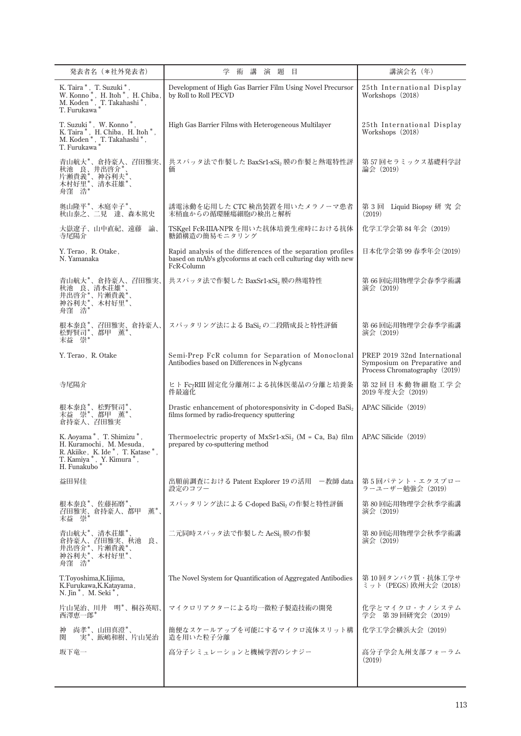| 発表者名 (*社外発表者)                                                                                                                                                                                 | 学<br>目<br>術<br>講<br>演<br>題                                                                                                                  | 講演会名(年)                                                                                       |
|-----------------------------------------------------------------------------------------------------------------------------------------------------------------------------------------------|---------------------------------------------------------------------------------------------------------------------------------------------|-----------------------------------------------------------------------------------------------|
| K. Taira*, T. Suzuki*,<br>W. Konno <sup>*</sup> , H. Itoh <sup>*</sup> , H. Chiba,<br>M. Koden <sup>*</sup> , T. Takahashi <sup>*</sup> ,<br>T. Furukawa <sup>*</sup>                         | Development of High Gas Barrier Film Using Novel Precursor<br>by Roll to Roll PECVD                                                         | 25th International Display<br>Workshops (2018)                                                |
| $\begin{array}{ll} \text{T. Suzuki}^*, \text{ W. Konno}^*,\\ \text{K. Taira}^*, \text{ H. Chiba, H. Itoh}^*,\\ \text{M. Koden}^*, \text{ T. Takahashi}^*,\\ \text{T. Furukawa}^* \end{array}$ | High Gas Barrier Films with Heterogeneous Multilayer                                                                                        | 25th International Display<br>Workshops (2018)                                                |
| 青山航大*、倉持豪人、召田雅実、<br>·秋池 良、井出啓介*、<br>片瀬貴義*、神谷利夫*、<br>片瀬貞義*、清水荘雄*、<br>舟窪 浩*                                                                                                                     | 共スパッタ法で作製した BaxSr1-xSi2 膜の作製と熱電特性評<br>価                                                                                                     | 第57回セラミックス基礎科学討<br>論会(2019)                                                                   |
| 奥山隆平*、木庭幸子*、<br>秋山泰之、二見達、森本篤史                                                                                                                                                                 | 誘電泳動を応用した CTC 検出装置を用いたメラノーマ患者<br>末梢血からの循環腫瘍細胞の検出と解析                                                                                         | 第3回 Liquid Biopsy 研究会<br>(2019)                                                               |
| 大嶽遼子、山中直紀、遠藤<br>諭、<br>寺尾陽介                                                                                                                                                                    | TSKgel FcR-IIIA-NPR を用いた抗体培養生産時における抗体<br>糖鎖構造の簡易モニタリング                                                                                      | 化学工学会第84年会 (2019)                                                                             |
| Y. Terao, R. Otake,<br>N. Yamanaka                                                                                                                                                            | Rapid analysis of the differences of the separation profiles<br>based on mAb's glycoforms at each cell culturing day with new<br>FcR-Column | 日本化学会第99春季年会(2019)                                                                            |
| 青山航大*'、倉持豪人、召田雅実、<br>·秋池 唐、清水荘雄*、<br>井出啓介*、片瀬貴義*、<br>神谷利夫*、木村好里*、<br>神谷利夫*、木村好里*、                                                                                                             | 共スパッタ法で作製した BaxSr1-xSi2 膜の熱電特性                                                                                                              | 第 66 回応用物理学会春季学術講<br>演会 (2019)                                                                |
| 根本泰良*、召田雅実、倉持豪人、<br>松野賢司*、都甲 薫*、<br>末益 崇*                                                                                                                                                     | スパッタリング法による BaSi2の二段階成長と特性評価                                                                                                                | 第 66 回応用物理学会春季学術講<br>演会 (2019)                                                                |
| Y. Terao, R. Otake                                                                                                                                                                            | Semi-Prep FcR column for Separation of Monoclonal<br>Antibodies based on Differences in N-glycans                                           | PREP 2019 32nd International<br>Symposium on Preparative and<br>Process Chromatography (2019) |
| 寺尾陽介                                                                                                                                                                                          | ヒト FcyRIII 固定化分離剤による抗体医薬品の分離と培養条<br>件最適化                                                                                                    | 第32回日本動物細胞工学会<br>2019年度大会 (2019)                                                              |
| 根本泰良*、松野賢司*、<br>末益 崇*、都甲<br>倉持豪人、召田雅実                                                                                                                                                         | Drastic enhancement of photoresponsivity in C-doped BaSi <sub>2</sub><br>films formed by radio-frequency sputtering                         | APAC Silicide (2019)                                                                          |
| K. Aoyama *, T. Shimizu *,<br>H. Kuramochi, M. Mesuda,<br>R. Akiike, K. Ide*, T. Katase*<br>T. Kamiya*, Y. Kimura*<br>H. Funakubo*                                                            | Thermoelectric property of $MxSr1-xSi2$ (M = Ca, Ba) film<br>prepared by co-sputtering method                                               | APAC Silicide (2019)                                                                          |
| 益田昇佳                                                                                                                                                                                          | 出願前調査における Patent Explorer 19 の活用 - 一教師 data<br>設定のコツー                                                                                       | 第5回パテント・エクスプロー<br>ラーユーザー勉強会 (2019)                                                            |
| 根本泰良*、佐藤拓磨*、<br>薫*.<br>召田雅実、倉持豪人、都甲<br>末益崇                                                                                                                                                    | スパッタリング法による C-doped BaSi2 の作製と特性評価                                                                                                          | 第80回応用物理学会秋季学術講<br>演会 (2019)                                                                  |
| 青山航大*、清水荘雄*、<br>倉持豪人、召田雅実、秋池<br>井出啓介*、片瀬貴義*、<br>良、<br>神谷利夫*、/ mg 表<br>舟窪 浩*、木村好里*、                                                                                                            | 二元同時スパッタ法で作製した AeSi, 膜の作製                                                                                                                   | 第 80 回応用物理学会秋季学術講<br>演会 (2019)                                                                |
| T.Toyoshima, K.Iijima,<br>K.Furukawa, K.Katayama,<br>N. Jin <sup>*</sup> , M. Seki <sup>*</sup> ,                                                                                             | The Novel System for Quantification of Aggregated Antibodies                                                                                | 第 10 回タンパク質・抗体工学サ<br>ミット (PEGS) 欧州大会 (2018)                                                   |
| 片山晃治、川井 明*、桐谷英昭、<br>西澤恵一郎*                                                                                                                                                                    | マイクロリアクターによる均一微粒子製造技術の開発                                                                                                                    | 化学とマイクロ・ナノシステム<br>学会 第39回研究会 (2019)                                                           |
| 尚孝*、山田真澄*、<br>神<br>関<br>実*、飯嶋和樹、片山晃治                                                                                                                                                          | 簡便なスケールアップを可能にするマイクロ流体スリット構<br>造を用いた粒子分離                                                                                                    | 化学工学会横浜大会 (2019)                                                                              |
| 坂下竜一                                                                                                                                                                                          | 高分子シミュレーションと機械学習のシナジー                                                                                                                       | 高分子学会九州支部フォーラム<br>(2019)                                                                      |
|                                                                                                                                                                                               |                                                                                                                                             |                                                                                               |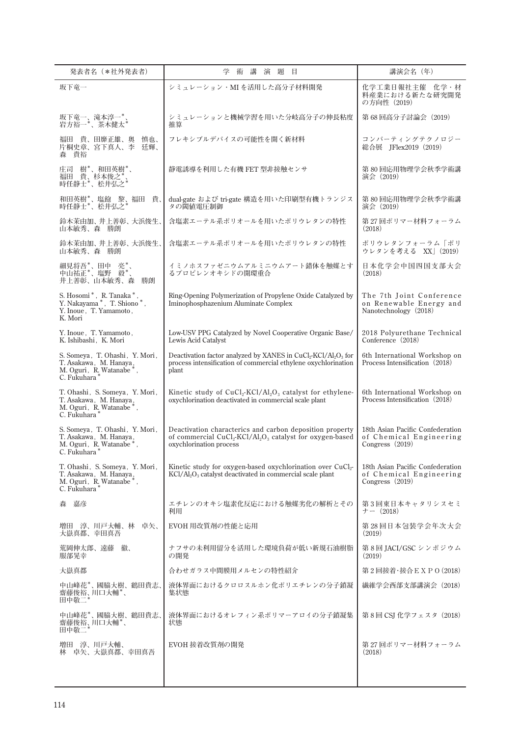| 発表者名 (*社外発表者)                                                                                                             | 術講演題目<br>学                                                                                                                                                                    | 講演会名 (年)                                                                         |
|---------------------------------------------------------------------------------------------------------------------------|-------------------------------------------------------------------------------------------------------------------------------------------------------------------------------|----------------------------------------------------------------------------------|
| 坂下竜一                                                                                                                      | シミュレーション・MI を活用した高分子材料開発                                                                                                                                                      | 化学工業日報社主催 化学・材<br>料産業における新たな研究開発<br>の方向性 (2019)                                  |
| 坂下竜一、滝本淳一*、<br>岩方裕一*、茶木健太*                                                                                                | シミュレーションと機械学習を用いた分岐高分子の伸長粘度<br>推算                                                                                                                                             | 第68回高分子討論会 (2019)                                                                |
| 福田 貴、田靡正雄、奥<br>慎也、<br>片桐史章、宮下真人、李<br>狂輝、<br>森 貴裕                                                                          | フレキシブルデバイスの可能性を開く新材料                                                                                                                                                          | コンバーティングテクノロジー<br>総合展 IFlex2019 (2019)                                           |
| 庄司 樹*、和田英樹*、<br>福田 貴、杉本俊之*<br>時任静士*、松井弘之*                                                                                 | 静電誘導を利用した有機 FET 型非接触センサ                                                                                                                                                       | 第 80 回応用物理学会秋季学術講<br>演会 (2019)                                                   |
| 和田英樹*、塩飽 黎、福田 貴、<br>時任静士*、松井弘之*                                                                                           | dual-gate および tri-gate 構造を用いた印刷型有機トランジス<br>タの閾値電圧制御                                                                                                                           | 第 80 回応用物理学会秋季学術講<br>演会 (2019)                                                   |
| 鈴木茉由加、井上善彰、大浜俊生、<br>山本敏秀、森 勝朗                                                                                             | 含塩素エーテル系ポリオールを用いたポリウレタンの特性                                                                                                                                                    | 第 27 回ポリマー材料フォーラム<br>(2018)                                                      |
| 鈴木茉由加、井上善彰、大浜俊生、<br>山本敏秀、森 勝朗                                                                                             | 含塩素エーテル系ポリオールを用いたポリウレタンの特性                                                                                                                                                    | ポリウレタンフォーラム「ポリ<br>ウレタンを考える XX   (2019)                                           |
| 細見将吾*、田中 亮*、<br>中山祐正*、塩野 毅*、<br>井上善彰、山本敏秀、森<br>勝朗                                                                         | イミノホスファゼニウムアルミニウムアート錯体を触媒とす<br>るプロピレンオキシドの開環重合                                                                                                                                | 日本化学会中国四国支部大会<br>(2018)                                                          |
| S. Hosomi <sup>*</sup> , R. Tanaka <sup>*</sup> ,<br>Y. Nakayama*, T. Shiono*,<br>Y. Inoue, T. Yamamoto,<br>K. Mori       | Ring-Opening Polymerization of Propylene Oxide Catalyzed by<br>Iminophosphazenium Aluminate Complex                                                                           | The 7th Joint Conference<br>on Renewable Energy and<br>Nanotechnology (2018)     |
| Y. Inoue, T. Yamamoto,<br>K. Ishibashi, K. Mori                                                                           | Low-USV PPG Catalyzed by Novel Cooperative Organic Base/<br>Lewis Acid Catalyst                                                                                               | 2018 Polyurethane Technical<br>Conference (2018)                                 |
| S. Someya, T. Ohashi, Y. Mori,<br>T. Asakawa, M. Hanaya,<br>M. Oguri, R. Watanabe <sup>*</sup> ,<br>C. Fukuhara*          | Deactivation factor analyzed by XANES in CuCl <sub>2</sub> -KCl/Al <sub>2</sub> O <sub>3</sub> for<br>process intensification of commercial ethylene oxychlorination<br>plant | 6th International Workshop on<br>Process Intensification (2018)                  |
| T. Ohashi, S. Someya, Y. Mori,<br>T. Asakawa, M. Hanaya,<br>M. Oguri, R. Watanabe <sup>*</sup> , C. Fukuhara <sup>*</sup> | Kinetic study of $CuCl2-KC1/Al2O3$ catalyst for ethylene-<br>oxychlorination deactivated in commercial scale plant                                                            | 6th International Workshop on<br>Process Intensification (2018)                  |
| S. Someya, T. Ohashi, Y. Mori,<br>T. Asakawa, M. Hanaya,<br>M. Oguri, R. Watanabe <sup>*</sup> ,<br>C. Fukuhara           | Deactivation characterics and carbon deposition property<br>of commercial $CuCl2-KC1/Al2O3$ catalyst for oxygen-based<br>oxychlorination process                              | 18th Asian Pacific Confederation<br>of Chemical Engineering<br>Congress $(2019)$ |
| T. Ohashi, S. Someya, Y. Mori,<br>T. Asakawa, M. Hanaya,<br>M. Oguri, R. Watanabe*,<br>C. Fukuhara*                       | Kinetic study for oxygen-based oxychlorination over CuCl <sub>2</sub> -<br>KCl/Al <sub>2</sub> O <sub>3</sub> catalyst deactivated in commercial scale plant                  | 18th Asian Pacific Confederation<br>of Chemical Engineering<br>Congress $(2019)$ |
| 森 嘉彦                                                                                                                      | エチレンのオキシ塩素化反応における触媒劣化の解析とその<br>利用                                                                                                                                             | 第3回東日本キャタリシスセミ<br>$\tau$ – (2018)                                                |
| 増田 淳、川戸大輔、林 卓矢、<br>大嶽真都、幸田真吾                                                                                              | EVOH 用改質剤の性能と応用                                                                                                                                                               | 第 28 回日本包装学会年次大会<br>(2019)                                                       |
| 荒岡伸太郎、遠藤 徹、<br>服部晃幸                                                                                                       | ナフサの未利用留分を活用した環境負荷が低い新規石油樹脂<br>の開発                                                                                                                                            | 第8回 JACI/GSC シンポジウム<br>(2019)                                                    |
| 大嶽真都                                                                                                                      | 合わせガラス中間膜用メルセンの特性紹介                                                                                                                                                           | 第2回接着・接合EXPO(2018)                                                               |
| 中山峰花*、國脇大樹、鶴田貴志、<br>齋藤俊裕、川口大輔*、<br>田中敬二*                                                                                  | 液体界面におけるクロロスルホン化ポリエチレンの分子鎖凝<br>集状態                                                                                                                                            | 繊維学会西部支部講演会(2018)                                                                |
| 中山峰花*、國脇大樹、鶴田貴志、<br>齋藤俊裕、川口大輔*、<br>田中敬二*                                                                                  | 液体界面におけるオレフィン系ポリマーアロイの分子鎖凝集<br>状態                                                                                                                                             | 第 8 回 CSI 化学フェスタ(2018)                                                           |
| 増田 淳、川戸大輔、<br>林 卓矢、大嶽真都、幸田真吾                                                                                              | EVOH 接着改質剤の開発                                                                                                                                                                 | 第 27 回ポリマー材料フォーラム<br>(2018)                                                      |
|                                                                                                                           |                                                                                                                                                                               |                                                                                  |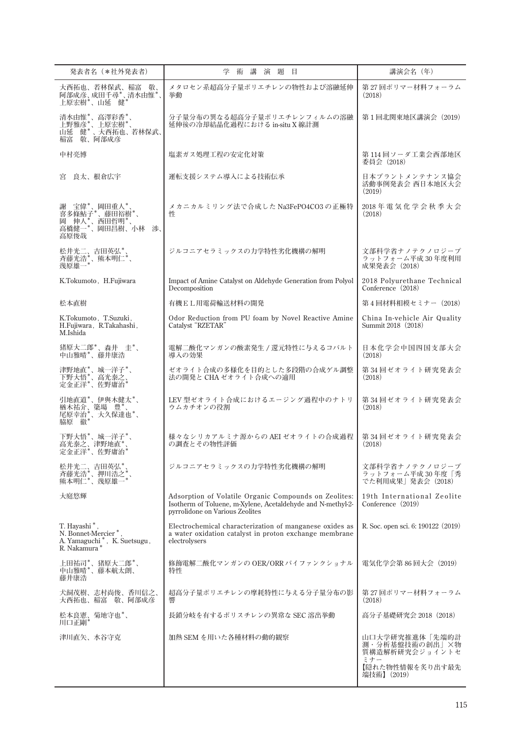| 発表者名 (*社外発表者)                                                                                                    | 術 講<br>演題目<br>学                                                                                                                                         | 講演会名 (年)                                                                     |
|------------------------------------------------------------------------------------------------------------------|---------------------------------------------------------------------------------------------------------------------------------------------------------|------------------------------------------------------------------------------|
| 大西拓也、若林保武、稲富 敬、<br>阿部成彦、成田千尋*、清水由惟*。<br>上原宏樹*、山延 健*                                                              | メタロセン系超高分子量ポリエチレンの物性および溶融延伸<br>挙動                                                                                                                       | 第 27 回ポリマー材料フォーラム<br>(2018)                                                  |
| 清水由惟*、高澤彩香*、<br>上野雅彦*、上原宏樹*、<br>山延 健* 、大西拓也、若林保武、<br>稲富 敬、阿部成彦                                                   | 分子量分布の異なる超高分子量ポリエチレンフィルムの溶融<br>延伸後の冷却結晶化過程における in-situ X線計測                                                                                             | 第1回北関東地区講演会 (2019)                                                           |
| 中村亮博                                                                                                             | 塩素ガス処理工程の安定化対策                                                                                                                                          | 第 114 回ソーダ工業会西部地区<br>委員会(2018)                                               |
| 良太、根倉広宇<br>宮                                                                                                     | 運転支援システム導入による技術伝承                                                                                                                                       | 日本プラントメンテナンス協会<br>活動事例発表会 西日本地区大会<br>(2019)                                  |
| 謝 宝偉*、岡田重人*、<br>喜多條鮎子*、藤田裕樹*、<br>岡 伸人*、西田哲明*、<br>高橋健一*、岡田昌樹、小林<br>渉、<br>高原俊哉                                     | メカニカルミリング法で合成した Na3FePO4CO3 の正極特<br>性                                                                                                                   | 2018年電気化学会秋季大会<br>(2018)                                                     |
| 松井光二、吉田英弘*、<br>斉藤光浩*、熊本明仁*、<br>幾原雄一*                                                                             | ジルコニアセラミックスの力学特性劣化機構の解明                                                                                                                                 | 文部科学省ナノテクノロジープ<br>ラットフォーム平成30年度利用<br>成果発表会 (2018)                            |
| K.Tokumoto, H.Fujiwara                                                                                           | Impact of Amine Catalyst on Aldehyde Generation from Polyol<br>Decomposition                                                                            | 2018 Polyurethane Technical<br>Conference (2018)                             |
| 松本直樹                                                                                                             | 有機EL用電荷輸送材料の開発                                                                                                                                          | 第4回材料相模セミナー (2018)                                                           |
| K.Tokumoto, T.Suzuki,<br>H.Fujiwara, R.Takahashi,<br>M.Ishida                                                    | Odor Reduction from PU foam by Novel Reactive Amine<br>Catalyst "RZETAR"                                                                                | China In-vehicle Air Quality<br>Summit 2018 (2018)                           |
| 猪原大二郎*、森井 圭*、<br>中山雅晴*、藤井康浩                                                                                      | 電解二酸化マンガンの酸素発生 / 還元特性に与えるコバルト<br>導入の効果                                                                                                                  | 日本化学会中国四国支部大会<br>(2018)                                                      |
| 津野地直*、城一洋子*、<br>下野大悟*、高光泰之、<br>定金正洋*、佐野庸治*                                                                       | ゼオライト合成の多様化を目的とした多段階の合成ゲル調整<br>法の開発と CHA ゼオライト合成への適用                                                                                                    | 第 34 回ゼオライト研究発表会<br>(2018)                                                   |
| 引地直道*、伊與木健太*、<br>·楢木祐介、簗場 豊*、<br>尾原幸治*、大久保達也*、<br>脇原 徹*                                                          | LEV 型ゼオライト合成におけるエージング過程中のナトリ<br>ウムカチオンの役割                                                                                                               | 第 34 回ゼオライト研究発表会<br>(2018)                                                   |
| 下野大悟*、城一洋子*、<br>高光泰之、津野地直*<br>定金正洋*、佐野庸治                                                                         | 様々なシリカアルミナ源からの AEI ゼオライトの合成過程<br>の調査とその物性評価                                                                                                             | 第 34 回ゼオライト研究発表会<br>(2018)                                                   |
| 松井光二、吉田英弘*、<br>斉藤光浩*、押川浩之<br>熊本明仁*、幾原雄-                                                                          | ジルコニアセラミックスの力学特性劣化機構の解明                                                                                                                                 | 文部科学省ナノテクノロジープ<br>ラットフォーム平成 30 年度「秀<br>でた利用成果 発表会(2018)                      |
| 大庭悠輝                                                                                                             | Adsorption of Volatile Organic Compounds on Zeolites:<br>Isotherm of Toluene, m-Xylene, Acetaldehyde and N-methyl-2-<br>pyrrolidone on Various Zeolites | 19th International Zeolite<br>Conference (2019)                              |
| T. Hayashi <sup>*</sup><br>N. Bonnet-Mercier <sup>*</sup> ,<br>A. Yamaguchi $^*$ , K. Suetsugu, R. Nakamura $^*$ | Electrochemical characterization of manganese oxides as<br>a water oxidation catalyst in proton exchange membrane<br>electrolysers                      | R. Soc. open sci. 6: 190122 (2019)                                           |
| 上田祐司*、猪原大二郎*、<br>中山雅晴*、藤本航太朗、<br>藤井康浩                                                                            | 修飾電解二酸化マンガンの OER/ORR バイファンクショナル<br>特性                                                                                                                   | 電気化学会第 86 回大会(2019)                                                          |
| 犬飼茂樹、志村尚俊、香川信之、<br>大西拓也、稲富 敬、阿部成彦                                                                                | 超高分子量ポリエチレンの摩耗特性に与える分子量分布の影<br>響                                                                                                                        | 第 27 回ポリマー材料フォーラム<br>(2018)                                                  |
| 松本良憲、菊地守也*、<br>川口正剛*                                                                                             | 長鎖分岐を有するポリスチレンの異常な SEC 溶出挙動                                                                                                                             | 高分子基礎研究会 2018(2018)                                                          |
| 津川直矢、水谷守克                                                                                                        | 加熱 SEM を用いた各種材料の動的観察                                                                                                                                    | 山口大学研究推進体「先端的計<br>測・分析基盤技術の創出」×物<br>質構造解析研究会ジョイントセ<br>ミナー<br>【隠れた物性情報を炙り出す最先 |
|                                                                                                                  |                                                                                                                                                         | 端技術】(2019)                                                                   |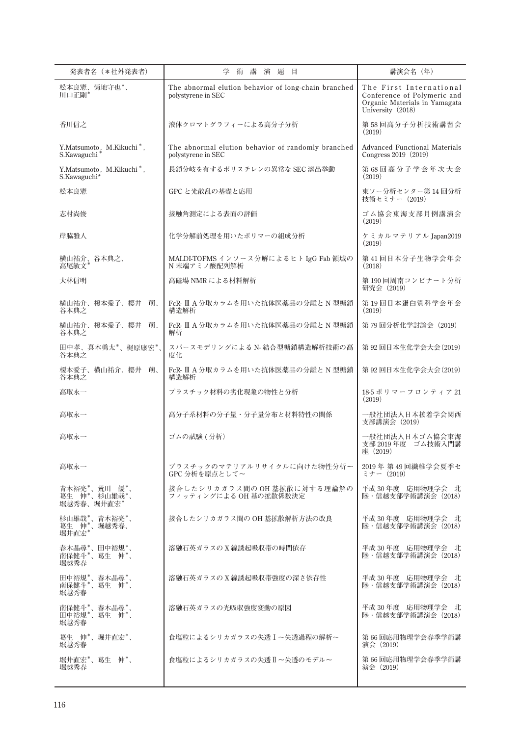| 発表者名 (*社外発表者)                                         | 学<br>講<br>演 題<br>目<br>術                                                    | 講演会名 (年)                                                                                                     |
|-------------------------------------------------------|----------------------------------------------------------------------------|--------------------------------------------------------------------------------------------------------------|
| 松本良憲、菊地守也*、<br>川口正剛*                                  | The abnormal elution behavior of long-chain branched<br>polystyrene in SEC | The First International<br>Conference of Polymeric and<br>Organic Materials in Yamagata<br>University (2018) |
| 香川信之                                                  | 液体クロマトグラフィーによる高分子分析                                                        | 第58回高分子分析技術講習会<br>(2019)                                                                                     |
| Y.Matsumoto, M.Kikuchi*, S.Kawaguchi*                 | The abnormal elution behavior of randomly branched<br>polystyrene in SEC   | <b>Advanced Functional Materials</b><br>Congress 2019 (2019)                                                 |
| Y.Matsumoto, M.Kikuchi <sup>*</sup> ,<br>S.Kawaguchi* | 長鎖分岐を有するポリスチレンの異常な SEC 溶出挙動                                                | 第68回高分子学会年次大会<br>(2019)                                                                                      |
| 松本良憲                                                  | GPC と光散乱の基礎と応用                                                             | 東ソー分析センター第14回分析<br>技術セミナー(2019)                                                                              |
| 志村尚俊                                                  | 接触角測定による表面の評価                                                              | ゴム協会東海支部月例講演会<br>(2019)                                                                                      |
| 岸脇雅人                                                  | 化学分解前処理を用いたポリマーの組成分析                                                       | ケミカルマテリアル Japan2019<br>(2019)                                                                                |
| 横山祐介、谷本典之、<br>高尾敏文'                                   | MALDI-TOFMS インソース分解によるヒト IgG Fab 領域の<br>N 末端アミノ酸配列解析                       | 第41回日本分子生物学会年会<br>(2018)                                                                                     |
| 大林信明                                                  | 高磁場 NMR による材料解析                                                            | 第190回周南コンビナート分析<br>研究会 (2019)                                                                                |
| 横山祐介、榎本愛子、櫻井<br>萌、<br>谷本典之                            | FcR- Ⅲ A 分取カラムを用いた抗体医薬品の分離と N 型糖鎖<br>構造解析                                  | 第19回日本蛋白質科学会年会<br>(2019)                                                                                     |
| 横山祐介、榎本愛子、櫻井<br>萌、<br>谷本典之                            | FcR- Ⅱ A 分取カラムを用いた抗体医薬品の分離と N 型糖鎖<br>解析                                    | 第79回分析化学討論会 (2019)                                                                                           |
| 田中孝、真木勇太*、梶原康宏*、<br>谷本典之                              | スパースモデリングによる N- 結合型糖鎖構造解析技術の高<br>度化                                        | 第92回日本生化学会大会(2019)                                                                                           |
| 榎本愛子、横山祐介、櫻井 萌、<br>谷本典之                               | FcR- Ⅲ A 分取カラムを用いた抗体医薬品の分離と N 型糖鎖<br>構造解析                                  | 第92回日本生化学会大会(2019)                                                                                           |
| 高取永一                                                  | プラスチック材料の劣化現象の物性と分析                                                        | 18-5 ポリマーフロンティア 21<br>(2019)                                                                                 |
| 高取永一                                                  | 高分子系材料の分子量・分子量分布と材料特性の関係                                                   | 一般社団法人日本接着学会関西<br>支部講演会 (2019)                                                                               |
| 高取永一                                                  | ゴムの試験 (分析)                                                                 | 一般社団法人日本ゴム協会東海<br>支部 2019年度 ゴム技術入門講<br>座 (2019)                                                              |
| 高取永一                                                  | プラスチックのマテリアルリサイクルに向けた物性分析~<br>GPC 分析を原点として~                                | 2019年 第49回繊維学会夏季セ<br>$\ddot{z}$ + $-$ (2019)                                                                 |
| 青木裕亮*、荒川 優*、<br>葛生 (忡*、杉山雄哉*、<br>堀越秀春、堀井直宏*           | 接合したシリカガラス間の OH 基拡散に対する理論解の<br>フィッティングによる OH 基の拡散係数決定                      | 平成 30 年度 応用物理学会 北<br>陸・信越支部学術講演会 (2018)                                                                      |
| 杉山雄哉*、青木裕亮*、<br>葛生 伸*、堀越秀春、<br>堀井直宏*                  | 接合したシリカガラス間の OH 基拡散解析方法の改良                                                 | 平成 30 年度 応用物理学会 北<br>陸・信越支部学術講演会 (2018)                                                                      |
| 春木晶尋*、田中裕規*、<br>南保健斗*、葛生 伸*、<br>堀越秀春                  | 溶融石英ガラスのX線誘起吸収帯の時間依存                                                       | 平成 30年度 応用物理学会 北<br>陸・信越支部学術講演会 (2018)                                                                       |
| 田中裕規*、春木晶尋*、<br>南保健斗*、葛生 伸*、<br>堀越秀春                  | 溶融石英ガラスのX線誘起吸収帯強度の深さ依存性                                                    | 平成 30 年度 応用物理学会 北<br>陸・信越支部学術講演会 (2018)                                                                      |
| 南保健斗*、春木晶尋*、<br>田中裕規*、葛生 伸*、<br>堀越秀春                  | 溶融石英ガラスの光吸収強度変動の原因                                                         | 平成 30年度 応用物理学会 北<br>陸・信越支部学術講演会 (2018)                                                                       |
| 葛生 伸*、堀井直宏*、<br>堀越秀春                                  | 食塩粒によるシリカガラスの失透Ⅰ~失透過程の解析~                                                  | 第 66 回応用物理学会春季学術講<br>演会 (2019)                                                                               |
| 堀井直宏*、葛生 伸*、<br>堀越秀春                                  | 食塩粒によるシリカガラスの失透Ⅱ~失透のモデル~                                                   | 第66回応用物理学会春季学術講<br>演会 (2019)                                                                                 |